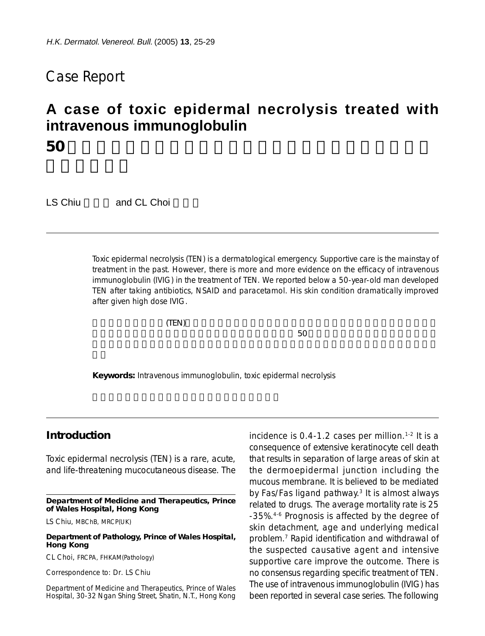# Case Report

# **A case of toxic epidermal necrolysis treated with intravenous immunoglobulin 50** 歲男患者表皮廣泛脫落:靜注免疫球蛋白治療毒性表皮壞

LS Chiu and CL Choi

Toxic epidermal necrolysis (TEN) is a dermatological emergency. Supportive care is the mainstay of treatment in the past. However, there is more and more evidence on the efficacy of intravenous immunoglobulin (IVIG) in the treatment of TEN. We reported below a 50-year-old man developed TEN after taking antibiotics, NSAID and paracetamol. His skin condition dramatically improved after given high dose IVIG.

 $(TEN)$ 

 $150$ 

**Keywords:** Intravenous immunoglobulin, toxic epidermal necrolysis

# **Introduction**

Toxic epidermal necrolysis (TEN) is a rare, acute, and life-threatening mucocutaneous disease. The

**Department of Medicine and Therapeutics, Prince of Wales Hospital, Hong Kong**

LS Chiu, MBChB, MRCP(UK)

**Department of Pathology, Prince of Wales Hospital, Hong Kong**

CL Choi, FRCPA, FHKAM(Pathology)

Correspondence to: Dr. LS Chiu

Department of Medicine and Therapeutics, Prince of Wales Hospital, 30-32 Ngan Shing Street, Shatin, N.T., Hong Kong incidence is  $0.4$ -1.2 cases per million.<sup>1-2</sup> It is a consequence of extensive keratinocyte cell death that results in separation of large areas of skin at the dermoepidermal junction including the mucous membrane. It is believed to be mediated by Fas/Fas ligand pathway.3 It is almost always related to drugs. The average mortality rate is 25 -35%.4-6 Prognosis is affected by the degree of skin detachment, age and underlying medical problem.7 Rapid identification and withdrawal of the suspected causative agent and intensive supportive care improve the outcome. There is no consensus regarding specific treatment of TEN. The use of intravenous immunoglobulin (IVIG) has been reported in several case series. The following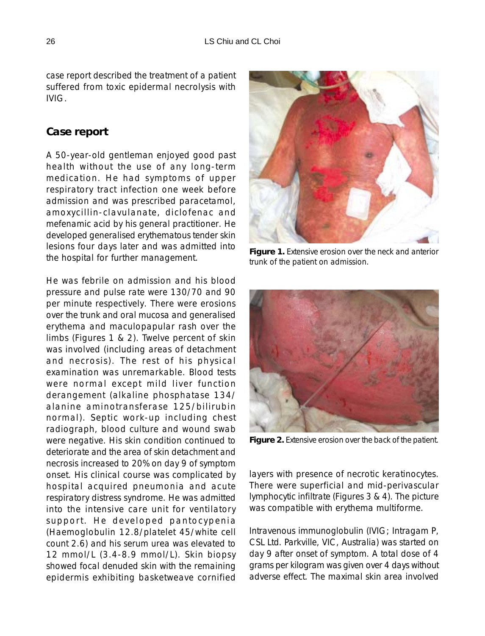case report described the treatment of a patient suffered from toxic epidermal necrolysis with IVIG.

#### **Case report**

A 50-year-old gentleman enjoyed good past health without the use of any long-term medication. He had symptoms of upper respiratory tract infection one week before admission and was prescribed paracetamol, amoxycillin-clavulanate, diclofenac and mefenamic acid by his general practitioner. He developed generalised erythematous tender skin lesions four days later and was admitted into the hospital for further management.

He was febrile on admission and his blood pressure and pulse rate were 130/70 and 90 per minute respectively. There were erosions over the trunk and oral mucosa and generalised erythema and maculopapular rash over the limbs (Figures 1 & 2). Twelve percent of skin was involved (including areas of detachment and necrosis). The rest of his physical examination was unremarkable. Blood tests were normal except mild liver function derangement (alkaline phosphatase 134/ alanine aminotransferase 125/bilirubin normal). Septic work-up including chest radiograph, blood culture and wound swab were negative. His skin condition continued to deteriorate and the area of skin detachment and necrosis increased to 20% on day 9 of symptom onset. His clinical course was complicated by hospital acquired pneumonia and acute respiratory distress syndrome. He was admitted into the intensive care unit for ventilatory support. He developed pantocypenia (Haemoglobulin 12.8/platelet 45/white cell count 2.6) and his serum urea was elevated to 12 mmol/L (3.4-8.9 mmol/L). Skin biopsy showed focal denuded skin with the remaining epidermis exhibiting basketweave cornified



**Figure 1.** Extensive erosion over the neck and anterior trunk of the patient on admission.



**Figure 2.** Extensive erosion over the back of the patient.

layers with presence of necrotic keratinocytes. There were superficial and mid-perivascular lymphocytic infiltrate (Figures 3 & 4). The picture was compatible with erythema multiforme.

Intravenous immunoglobulin (IVIG; Intragam P, CSL Ltd. Parkville, VIC, Australia) was started on day 9 after onset of symptom. A total dose of 4 grams per kilogram was given over 4 days without adverse effect. The maximal skin area involved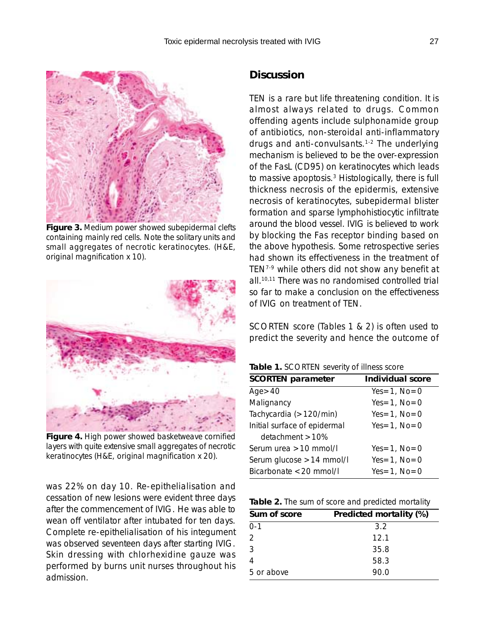

**Figure 3.** Medium power showed subepidermal clefts containing mainly red cells. Note the solitary units and small aggregates of necrotic keratinocytes. (H&E, original magnification x 10).



**Figure 4.** High power showed basketweave cornified layers with quite extensive small aggregates of necrotic keratinocytes (H&E, original magnification x 20).

was 22% on day 10. Re-epithelialisation and cessation of new lesions were evident three days after the commencement of IVIG. He was able to wean off ventilator after intubated for ten days. Complete re-epithelialisation of his integument was observed seventeen days after starting IVIG. Skin dressing with chlorhexidine gauze was performed by burns unit nurses throughout his admission.

# **Discussion**

TEN is a rare but life threatening condition. It is almost always related to drugs. Common offending agents include sulphonamide group of antibiotics, non-steroidal anti-inflammatory drugs and anti-convulsants.1-2 The underlying mechanism is believed to be the over-expression of the FasL (CD95) on keratinocytes which leads to massive apoptosis.<sup>3</sup> Histologically, there is full thickness necrosis of the epidermis, extensive necrosis of keratinocytes, subepidermal blister formation and sparse lymphohistiocytic infiltrate around the blood vessel. IVIG is believed to work by blocking the Fas receptor binding based on the above hypothesis. Some retrospective series had shown its effectiveness in the treatment of TEN7-9 while others did not show any benefit at all.10,11 There was no randomised controlled trial so far to make a conclusion on the effectiveness of IVIG on treatment of TEN.

SCORTEN score (Tables 1 & 2) is often used to predict the severity and hence the outcome of

| <b>SCORTEN parameter</b>     | Individual score |
|------------------------------|------------------|
| Age > 40                     | $Yes=1$ , $No=0$ |
| Malignancy                   | $Yes=1$ , $No=0$ |
| Tachycardia (>120/min)       | $Yes=1$ , $No=0$ |
| Initial surface of epidermal | $Yes=1$ , $No=0$ |
| detachment > 10%             |                  |
| Serum urea $>10$ mmol/l      | $Yes=1$ , $No=0$ |
| Serum glucose > 14 mmol/l    | $Yes=1$ , $No=0$ |
| Bicarbonate < 20 mmol/l      | $Yes=1$ , $No=0$ |
|                              |                  |

|  |  |  |  | Table 2. The sum of score and predicted mortality |  |
|--|--|--|--|---------------------------------------------------|--|
|--|--|--|--|---------------------------------------------------|--|

| Sum of score | Predicted mortality (%) |
|--------------|-------------------------|
| 0-1          | 3.2                     |
| 2            | 12.1                    |
| 3            | 35.8                    |
| 4            | 58.3                    |
| 5 or above   | 90.0                    |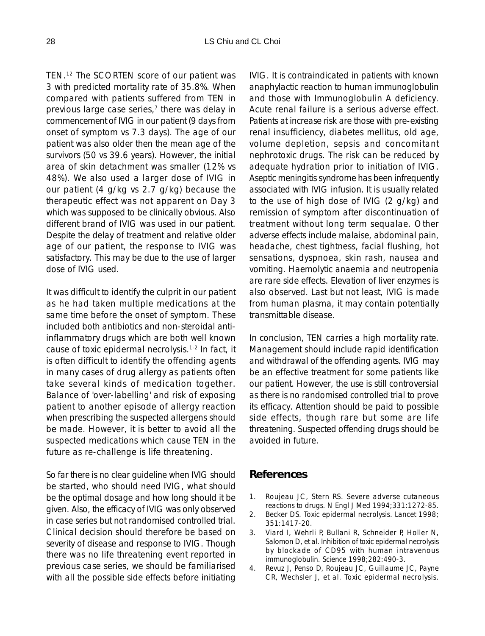TEN.12 The SCORTEN score of our patient was 3 with predicted mortality rate of 35.8%. When compared with patients suffered from TEN in previous large case series, $<sup>7</sup>$  there was delay in</sup> commencement of IVIG in our patient (9 days from onset of symptom vs 7.3 days). The age of our patient was also older then the mean age of the survivors (50 vs 39.6 years). However, the initial area of skin detachment was smaller (12% vs 48%). We also used a larger dose of IVIG in our patient (4 g/kg vs 2.7 g/kg) because the therapeutic effect was not apparent on Day 3 which was supposed to be clinically obvious. Also different brand of IVIG was used in our patient. Despite the delay of treatment and relative older age of our patient, the response to IVIG was satisfactory. This may be due to the use of larger dose of IVIG used.

It was difficult to identify the culprit in our patient as he had taken multiple medications at the same time before the onset of symptom. These included both antibiotics and non-steroidal antiinflammatory drugs which are both well known cause of toxic epidermal necrolysis.1-2 In fact, it is often difficult to identify the offending agents in many cases of drug allergy as patients often take several kinds of medication together. Balance of 'over-labelling' and risk of exposing patient to another episode of allergy reaction when prescribing the suspected allergens should be made. However, it is better to avoid all the suspected medications which cause TEN in the future as re-challenge is life threatening.

So far there is no clear guideline when IVIG should be started, who should need IVIG, what should be the optimal dosage and how long should it be given. Also, the efficacy of IVIG was only observed in case series but not randomised controlled trial. Clinical decision should therefore be based on severity of disease and response to IVIG. Though there was no life threatening event reported in previous case series, we should be familiarised with all the possible side effects before initiating IVIG. It is contraindicated in patients with known anaphylactic reaction to human immunoglobulin and those with Immunoglobulin A deficiency. Acute renal failure is a serious adverse effect. Patients at increase risk are those with pre-existing renal insufficiency, diabetes mellitus, old age, volume depletion, sepsis and concomitant nephrotoxic drugs. The risk can be reduced by adequate hydration prior to initiation of IVIG. Aseptic meningitis syndrome has been infrequently associated with IVIG infusion. It is usually related to the use of high dose of IVIG (2 g/kg) and remission of symptom after discontinuation of treatment without long term sequalae. Other adverse effects include malaise, abdominal pain, headache, chest tightness, facial flushing, hot sensations, dyspnoea, skin rash, nausea and vomiting. Haemolytic anaemia and neutropenia are rare side effects. Elevation of liver enzymes is also observed. Last but not least, IVIG is made from human plasma, it may contain potentially transmittable disease.

In conclusion, TEN carries a high mortality rate. Management should include rapid identification and withdrawal of the offending agents. IVIG may be an effective treatment for some patients like our patient. However, the use is still controversial as there is no randomised controlled trial to prove its efficacy. Attention should be paid to possible side effects, though rare but some are life threatening. Suspected offending drugs should be avoided in future.

### **References**

- 1. Roujeau JC, Stern RS. Severe adverse cutaneous reactions to drugs. N Engl J Med 1994;331:1272-85.
- 2. Becker DS. Toxic epidermal necrolysis. Lancet 1998; 351:1417-20.
- 3. Viard I, Wehrli P, Bullani R, Schneider P, Holler N, Salomon D, et al. Inhibition of toxic epidermal necrolysis by blockade of CD95 with human intravenous immunoglobulin. Science 1998;282:490-3.
- 4. Revuz J, Penso D, Roujeau JC, Guillaume JC, Payne CR, Wechsler J, et al. Toxic epidermal necrolysis.